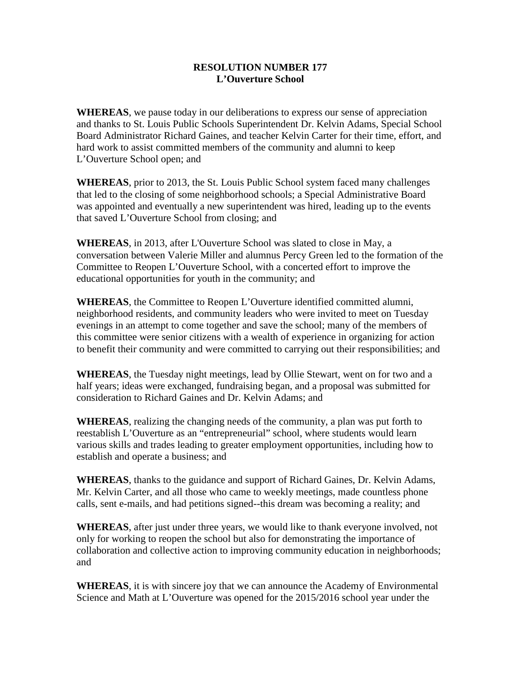## **RESOLUTION NUMBER 177 L'Ouverture School**

**WHEREAS**, we pause today in our deliberations to express our sense of appreciation and thanks to St. Louis Public Schools Superintendent Dr. Kelvin Adams, Special School Board Administrator Richard Gaines, and teacher Kelvin Carter for their time, effort, and hard work to assist committed members of the community and alumni to keep L'Ouverture School open; and

**WHEREAS**, prior to 2013, the St. Louis Public School system faced many challenges that led to the closing of some neighborhood schools; a Special Administrative Board was appointed and eventually a new superintendent was hired, leading up to the events that saved L'Ouverture School from closing; and

**WHEREAS**, in 2013, after L'Ouverture School was slated to close in May, a conversation between Valerie Miller and alumnus Percy Green led to the formation of the Committee to Reopen L'Ouverture School, with a concerted effort to improve the educational opportunities for youth in the community; and

**WHEREAS**, the Committee to Reopen L'Ouverture identified committed alumni, neighborhood residents, and community leaders who were invited to meet on Tuesday evenings in an attempt to come together and save the school; many of the members of this committee were senior citizens with a wealth of experience in organizing for action to benefit their community and were committed to carrying out their responsibilities; and

**WHEREAS**, the Tuesday night meetings, lead by Ollie Stewart, went on for two and a half years; ideas were exchanged, fundraising began, and a proposal was submitted for consideration to Richard Gaines and Dr. Kelvin Adams; and

**WHEREAS**, realizing the changing needs of the community, a plan was put forth to reestablish L'Ouverture as an "entrepreneurial" school, where students would learn various skills and trades leading to greater employment opportunities, including how to establish and operate a business; and

**WHEREAS**, thanks to the guidance and support of Richard Gaines, Dr. Kelvin Adams, Mr. Kelvin Carter, and all those who came to weekly meetings, made countless phone calls, sent e-mails, and had petitions signed--this dream was becoming a reality; and

**WHEREAS**, after just under three years, we would like to thank everyone involved, not only for working to reopen the school but also for demonstrating the importance of collaboration and collective action to improving community education in neighborhoods; and

**WHEREAS**, it is with sincere joy that we can announce the Academy of Environmental Science and Math at L'Ouverture was opened for the 2015/2016 school year under the